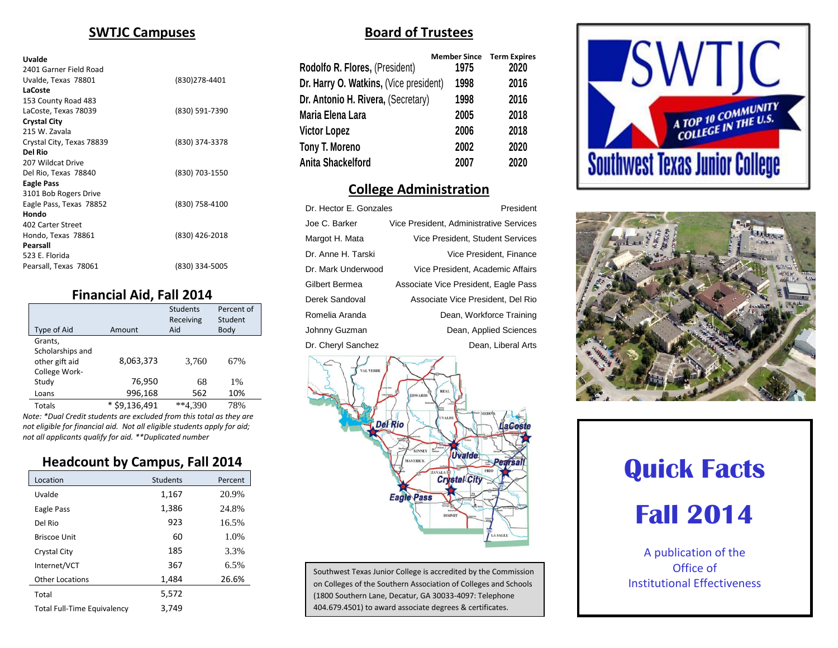# **SWTJC Campuses**

#### **Uvalde**

| 2401 Garner Field Road    |                |
|---------------------------|----------------|
| Uvalde, Texas 78801       | (830) 278-4401 |
| LaCoste                   |                |
| 153 County Road 483       |                |
| LaCoste, Texas 78039      | (830) 591-7390 |
| <b>Crystal City</b>       |                |
| 215 W. Zavala             |                |
| Crystal City, Texas 78839 | (830) 374-3378 |
| Del Rio                   |                |
| 207 Wildcat Drive         |                |
| Del Rio, Texas 78840      | (830) 703-1550 |
| <b>Eagle Pass</b>         |                |
| 3101 Bob Rogers Drive     |                |
| Eagle Pass, Texas 78852   | (830) 758-4100 |
| Hondo                     |                |
| 402 Carter Street         |                |
| Hondo, Texas 78861        | (830) 426-2018 |
| Pearsall                  |                |
| 523 E. Florida            |                |
| Pearsall, Texas 78061     | (830) 334-5005 |

# **Financial Aid, Fall 2014**

| Type of Aid      | Amount                | <b>Students</b><br>Receiving<br>Aid | Percent of<br>Student<br>Body |
|------------------|-----------------------|-------------------------------------|-------------------------------|
| Grants.          |                       |                                     |                               |
| Scholarships and |                       |                                     |                               |
| other gift aid   | 8,063,373             | 3,760                               | 67%                           |
| College Work-    |                       |                                     |                               |
| Study            | 76,950                | 68                                  | 1%                            |
| Loans            | 996,168               | 562                                 | 10%                           |
| <b>Totals</b>    | \$9.136.491<br>$\ast$ | $**4.390$                           | 78%                           |
|                  |                       |                                     |                               |

*Note: \*Dual Credit students are excluded from this total as they are not eligible for financial aid. Not all eligible students apply for aid; not all applicants qualify for aid. \*\*Duplicated number*

# **Headcount by Campus, Fall 2014**

| Location                           | <b>Students</b> | Percent |
|------------------------------------|-----------------|---------|
| Uvalde                             | 1,167           | 20.9%   |
| Eagle Pass                         | 1,386           | 24.8%   |
| Del Rio                            | 923             | 16.5%   |
| Briscoe Unit                       | 60              | 1.0%    |
| Crystal City                       | 185             | 3.3%    |
| Internet/VCT                       | 367             | 6.5%    |
| <b>Other Locations</b>             | 1,484           | 26.6%   |
| Total                              | 5,572           |         |
| <b>Total Full-Time Equivalency</b> | 3,749           |         |

# **Board of Trustees**

| Rodolfo R. Flores, (President)         | <b>Member Since</b><br>1975 | <b>Term Expires</b><br>2020 |
|----------------------------------------|-----------------------------|-----------------------------|
| Dr. Harry O. Watkins, (Vice president) | 1998                        | 2016                        |
| Dr. Antonio H. Rivera, (Secretary)     | 1998                        | 2016                        |
| Maria Elena Lara                       | 2005                        | 2018                        |
| <b>Victor Lopez</b>                    | 2006                        | 2018                        |
| Tony T. Moreno                         | 2002                        | 2020                        |
| Anita Shackelford                      | 2007                        | 2020                        |

# **College Administration**

| Dr. Hector E. Gonzales | President                               |
|------------------------|-----------------------------------------|
| Joe C. Barker          | Vice President, Administrative Services |
| Margot H. Mata         | Vice President, Student Services        |
| Dr. Anne H. Tarski     | Vice President, Finance                 |
| Dr. Mark Underwood     | Vice President, Academic Affairs        |
| Gilbert Bermea         | Associate Vice President, Eagle Pass    |
| Derek Sandoval         | Associate Vice President, Del Rio       |
| Romelia Aranda         | Dean, Workforce Training                |
| Johnny Guzman          | Dean, Applied Sciences                  |
| Dr. Cheryl Sanchez     | Dean, Liberal Arts                      |
|                        |                                         |



Southwest Texas Junior College is accredited by the Commission on Colleges of the Southern Association of Colleges and Schools (1800 Southern Lane, Decatur, GA 30033-4097: Telephone 404.679.4501) to award associate degrees & certificates.





# **Quick Facts**

# **Fall 2014**

A publication of the Office of Institutional Effectiveness